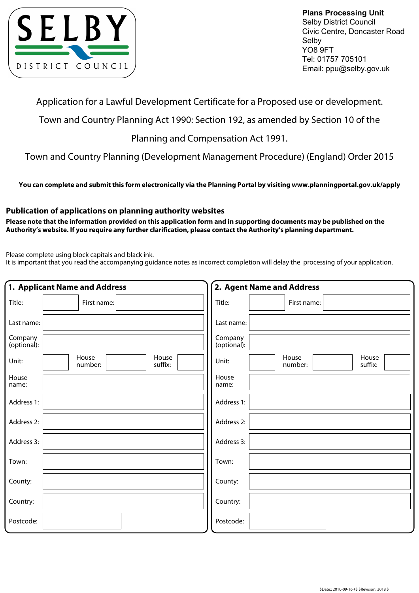

**Plans Processing Unit** Selby District Council Civic Centre, Doncaster Road Selby YO8 9FT Tel: 01757 705101 Email: ppu@selby.gov.uk

Application for a Lawful Development Certificate for a Proposed use or development.

Town and Country Planning Act 1990: Section 192, as amended by Section 10 of the

Planning and Compensation Act 1991.

Town and Country Planning (Development Management Procedure) (England) Order 2015

**You can complete and submit this form electronically via the Planning Portal by visiting www.planningportal.gov.uk/apply**

## **Publication of applications on planning authority websites**

**Please note that the information provided on this application form and in supporting documents may be published on the Authority's website. If you require any further clarification, please contact the Authority's planning department.**

Please complete using block capitals and black ink.

It is important that you read the accompanying guidance notes as incorrect completion will delay the processing of your application.

|                        | 1. Applicant Name and Address        | 2. Agent Name and Address                     |
|------------------------|--------------------------------------|-----------------------------------------------|
| Title:                 | First name:                          | Title:<br>First name:                         |
| Last name:             |                                      | Last name:                                    |
| Company<br>(optional): |                                      | Company<br>(optional):                        |
| Unit:                  | House<br>House<br>suffix:<br>number: | House<br>House<br>Unit:<br>suffix:<br>number: |
| House<br>name:         |                                      | House<br>name:                                |
| Address 1:             |                                      | Address 1:                                    |
| Address 2:             |                                      | Address 2:                                    |
| Address 3:             |                                      | Address 3:                                    |
| Town:                  |                                      | Town:                                         |
| County:                |                                      | County:                                       |
| Country:               |                                      | Country:                                      |
| Postcode:              |                                      | Postcode:                                     |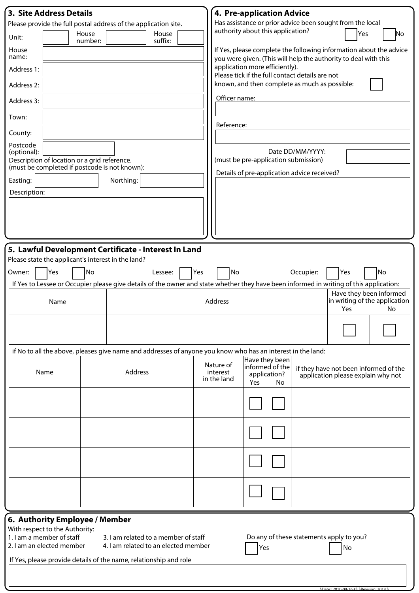| <b>3. Site Address Details</b>                                                                |                                                                              | <b>4. Pre-application Advice</b>                                                                                                                                               |
|-----------------------------------------------------------------------------------------------|------------------------------------------------------------------------------|--------------------------------------------------------------------------------------------------------------------------------------------------------------------------------|
|                                                                                               | Please provide the full postal address of the application site.              | Has assistance or prior advice been sought from the local                                                                                                                      |
| House<br>Unit:<br>number:                                                                     | House<br>suffix:                                                             | authority about this application?<br> Yes<br> No                                                                                                                               |
| House<br>name:                                                                                |                                                                              | If Yes, please complete the following information about the advice<br>you were given. (This will help the authority to deal with this                                          |
| Address 1:                                                                                    |                                                                              | application more efficiently).<br>Please tick if the full contact details are not                                                                                              |
| Address 2:                                                                                    |                                                                              | known, and then complete as much as possible:                                                                                                                                  |
| Address 3:                                                                                    |                                                                              | Officer name:                                                                                                                                                                  |
| Town:                                                                                         |                                                                              | Reference:                                                                                                                                                                     |
| County:                                                                                       |                                                                              |                                                                                                                                                                                |
| Postcode<br>(optional):                                                                       |                                                                              | Date DD/MM/YYYY:                                                                                                                                                               |
| Description of location or a grid reference.<br>(must be completed if postcode is not known): |                                                                              | (must be pre-application submission)                                                                                                                                           |
| Easting:                                                                                      | Northing:                                                                    | Details of pre-application advice received?                                                                                                                                    |
| Description:                                                                                  |                                                                              |                                                                                                                                                                                |
|                                                                                               |                                                                              |                                                                                                                                                                                |
|                                                                                               |                                                                              |                                                                                                                                                                                |
|                                                                                               |                                                                              |                                                                                                                                                                                |
| Please state the applicant's interest in the land?<br>No<br>Yes<br>Owner:                     | 5. Lawful Development Certificate - Interest In Land<br>Lessee:              | Yes<br>No<br>Occupier:<br>Yes<br>No<br>If Yes to Lessee or Occupier please give details of the owner and state whether they have been informed in writing of this application: |
| Name                                                                                          |                                                                              | Have they been informed<br>in writing of the application<br>Address<br>Yes<br>No                                                                                               |
|                                                                                               |                                                                              |                                                                                                                                                                                |
|                                                                                               |                                                                              | if No to all the above, pleases give name and addresses of anyone you know who has an interest in the land:                                                                    |
| Name                                                                                          | Address                                                                      | Have they been<br>Nature of<br>informed of the<br>if they have not been informed of the<br>interest<br>application?<br>application please explain why not<br>in the land       |
|                                                                                               |                                                                              | <b>Yes</b><br>No.                                                                                                                                                              |
|                                                                                               |                                                                              |                                                                                                                                                                                |
|                                                                                               |                                                                              |                                                                                                                                                                                |
|                                                                                               |                                                                              |                                                                                                                                                                                |
|                                                                                               |                                                                              |                                                                                                                                                                                |
|                                                                                               |                                                                              |                                                                                                                                                                                |
|                                                                                               |                                                                              |                                                                                                                                                                                |
| 6. Authority Employee / Member<br>With respect to the Authority:                              |                                                                              |                                                                                                                                                                                |
| 1. I am a member of staff<br>2. I am an elected member                                        | 3. I am related to a member of staff<br>4. I am related to an elected member | Do any of these statements apply to you?<br>No<br>Yes                                                                                                                          |
|                                                                                               | If Yes, please provide details of the name, relationship and role            |                                                                                                                                                                                |
|                                                                                               |                                                                              |                                                                                                                                                                                |

| $CD2$ $CD3$ $CD1$ $CD2$ $CD3$ $CD4$ $CD5$ $CD6$ $CD7$ $CD8$ $CD9$ $CD1$ $CD2$ $CD3$ $CD4$ $CD5$ $CD6$ $CD7$ $CD8$ $CD9$ |  |
|-------------------------------------------------------------------------------------------------------------------------|--|
|                                                                                                                         |  |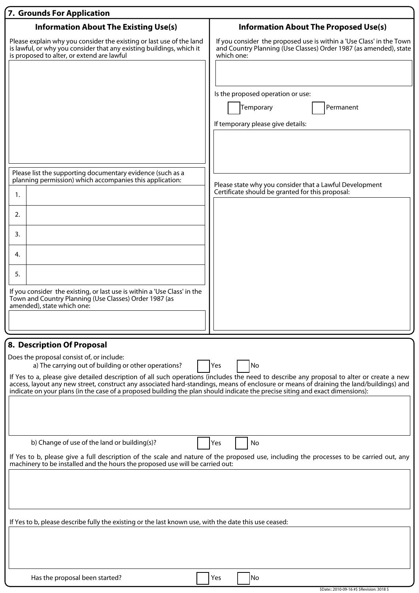| 7. Grounds For Application                                                                                                                                                                 |                                                                                                                                                         |
|--------------------------------------------------------------------------------------------------------------------------------------------------------------------------------------------|---------------------------------------------------------------------------------------------------------------------------------------------------------|
| <b>Information About The Existing Use(s)</b>                                                                                                                                               | <b>Information About The Proposed Use(s)</b>                                                                                                            |
| Please explain why you consider the existing or last use of the land<br>is lawful, or why you consider that any existing buildings, which it<br>is proposed to alter, or extend are lawful | If you consider the proposed use is within a 'Use Class' in the Town<br>and Country Planning (Use Classes) Order 1987 (as amended), state<br>which one: |
|                                                                                                                                                                                            |                                                                                                                                                         |
|                                                                                                                                                                                            | Is the proposed operation or use:                                                                                                                       |
|                                                                                                                                                                                            | Temporary<br>Permanent                                                                                                                                  |
|                                                                                                                                                                                            | If temporary please give details:                                                                                                                       |
|                                                                                                                                                                                            |                                                                                                                                                         |
| Please list the supporting documentary evidence (such as a                                                                                                                                 |                                                                                                                                                         |
| planning permission) which accompanies this application:                                                                                                                                   | Please state why you consider that a Lawful Development                                                                                                 |
| 1.                                                                                                                                                                                         | Certificate should be granted for this proposal:                                                                                                        |
| 2.                                                                                                                                                                                         |                                                                                                                                                         |
| 3.                                                                                                                                                                                         |                                                                                                                                                         |
| 4.                                                                                                                                                                                         |                                                                                                                                                         |
|                                                                                                                                                                                            |                                                                                                                                                         |
| 5.                                                                                                                                                                                         |                                                                                                                                                         |
| If you consider the existing, or last use is within a 'Use Class' in the<br>Town and Country Planning (Use Classes) Order 1987 (as                                                         |                                                                                                                                                         |
| amended), state which one:                                                                                                                                                                 |                                                                                                                                                         |
|                                                                                                                                                                                            |                                                                                                                                                         |
| 8. Description Of Proposal                                                                                                                                                                 |                                                                                                                                                         |
| Does the proposal consist of, or include:                                                                                                                                                  | No                                                                                                                                                      |
| a) The carrying out of building or other operations?                                                                                                                                       | Yes<br>If Yes to a, please give detailed description of all such operations (includes the need to describe any proposal to alter or create a new        |
| indicate on your plans (in the case of a proposed building the plan should indicate the precise siting and exact dimensions):                                                              | access, layout any new street, construct any associated hard-standings, means of enclosure or means of draining the land/buildings) and                 |
|                                                                                                                                                                                            |                                                                                                                                                         |
|                                                                                                                                                                                            |                                                                                                                                                         |
|                                                                                                                                                                                            |                                                                                                                                                         |
| b) Change of use of the land or building(s)?                                                                                                                                               | Yes<br>No<br>If Yes to b, please give a full description of the scale and nature of the proposed use, including the processes to be carried out, any    |
| machinery to be installed and the hours the proposed use will be carried out:                                                                                                              |                                                                                                                                                         |
|                                                                                                                                                                                            |                                                                                                                                                         |
|                                                                                                                                                                                            |                                                                                                                                                         |
|                                                                                                                                                                                            |                                                                                                                                                         |
| If Yes to b, please describe fully the existing or the last known use, with the date this use ceased:                                                                                      |                                                                                                                                                         |
|                                                                                                                                                                                            |                                                                                                                                                         |
|                                                                                                                                                                                            |                                                                                                                                                         |
| Has the proposal been started?                                                                                                                                                             | No<br>Yes                                                                                                                                               |
|                                                                                                                                                                                            | \$Date:: 2010-09-16 #\$ \$Revision: 3018 \$                                                                                                             |